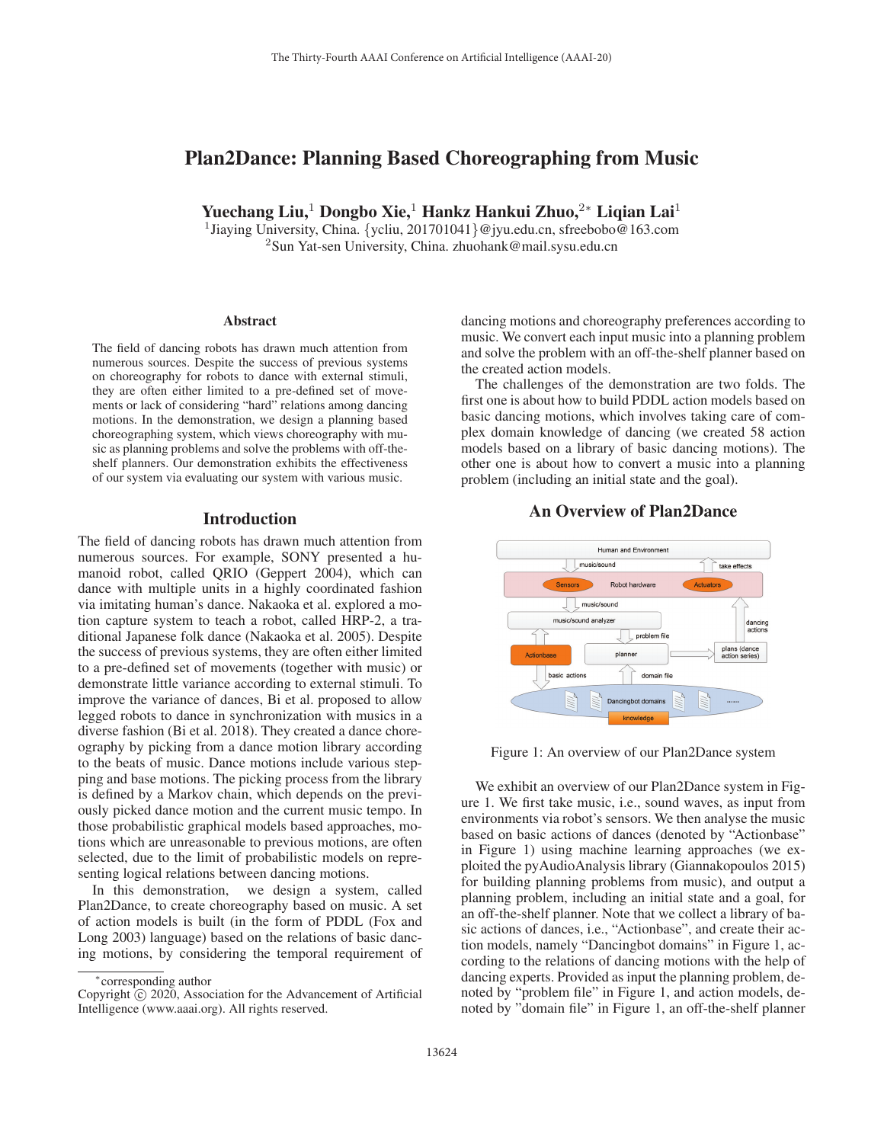# Plan2Dance: Planning Based Choreographing from Music

Yuechang Liu,<sup>1</sup> Dongbo Xie,<sup>1</sup> Hankz Hankui Zhuo,<sup>2∗</sup> Liqian Lai<sup>1</sup>

<sup>1</sup>Jiaying University, China. {ycliu, 201701041}@jyu.edu.cn, sfreebobo@163.com <sup>2</sup>Sun Yat-sen University, China. zhuohank@mail.sysu.edu.cn

### **Abstract**

The field of dancing robots has drawn much attention from numerous sources. Despite the success of previous systems on choreography for robots to dance with external stimuli, they are often either limited to a pre-defined set of movements or lack of considering "hard" relations among dancing motions. In the demonstration, we design a planning based choreographing system, which views choreography with music as planning problems and solve the problems with off-theshelf planners. Our demonstration exhibits the effectiveness of our system via evaluating our system with various music.

## Introduction

The field of dancing robots has drawn much attention from numerous sources. For example, SONY presented a humanoid robot, called QRIO (Geppert 2004), which can dance with multiple units in a highly coordinated fashion via imitating human's dance. Nakaoka et al. explored a motion capture system to teach a robot, called HRP-2, a traditional Japanese folk dance (Nakaoka et al. 2005). Despite the success of previous systems, they are often either limited to a pre-defined set of movements (together with music) or demonstrate little variance according to external stimuli. To improve the variance of dances, Bi et al. proposed to allow legged robots to dance in synchronization with musics in a diverse fashion (Bi et al. 2018). They created a dance choreography by picking from a dance motion library according to the beats of music. Dance motions include various stepping and base motions. The picking process from the library is defined by a Markov chain, which depends on the previously picked dance motion and the current music tempo. In those probabilistic graphical models based approaches, motions which are unreasonable to previous motions, are often selected, due to the limit of probabilistic models on representing logical relations between dancing motions.

In this demonstration, we design a system, called Plan2Dance, to create choreography based on music. A set of action models is built (in the form of PDDL (Fox and Long 2003) language) based on the relations of basic dancing motions, by considering the temporal requirement of dancing motions and choreography preferences according to music. We convert each input music into a planning problem and solve the problem with an off-the-shelf planner based on the created action models.

The challenges of the demonstration are two folds. The first one is about how to build PDDL action models based on basic dancing motions, which involves taking care of complex domain knowledge of dancing (we created 58 action models based on a library of basic dancing motions). The other one is about how to convert a music into a planning problem (including an initial state and the goal).

## An Overview of Plan2Dance



Figure 1: An overview of our Plan2Dance system

We exhibit an overview of our Plan2Dance system in Figure 1. We first take music, i.e., sound waves, as input from environments via robot's sensors. We then analyse the music based on basic actions of dances (denoted by "Actionbase" in Figure 1) using machine learning approaches (we exploited the pyAudioAnalysis library (Giannakopoulos 2015) for building planning problems from music), and output a planning problem, including an initial state and a goal, for an off-the-shelf planner. Note that we collect a library of basic actions of dances, i.e., "Actionbase", and create their action models, namely "Dancingbot domains" in Figure 1, according to the relations of dancing motions with the help of dancing experts. Provided as input the planning problem, denoted by "problem file" in Figure 1, and action models, denoted by "domain file" in Figure 1, an off-the-shelf planner

<sup>∗</sup>corresponding author

Copyright  $\odot$  2020, Association for the Advancement of Artificial Intelligence (www.aaai.org). All rights reserved.